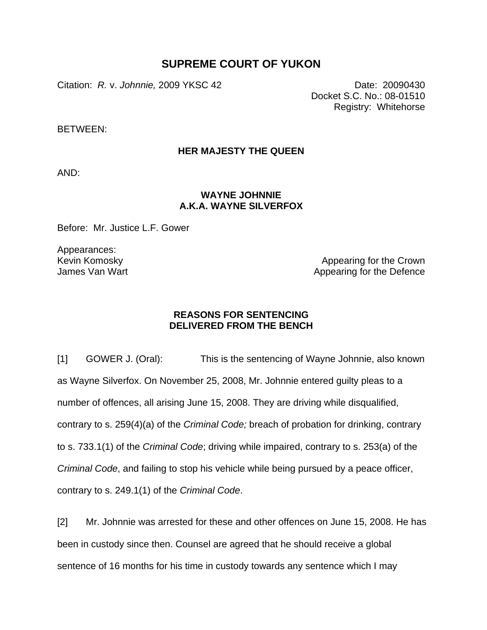# **SUPREME COURT OF YUKON**

Citation: *R.* v. *Johnnie,* 2009 YKSC 42 Date: 20090430

Docket S.C. No.: 08-01510 Registry: Whitehorse

BETWEEN:

### **HER MAJESTY THE QUEEN**

AND:

### **WAYNE JOHNNIE A.K.A. WAYNE SILVERFOX**

Before: Mr. Justice L.F. Gower

Appearances: Kevin Komosky James Van Wart

Appearing for the Crown Appearing for the Defence

## **REASONS FOR SENTENCING DELIVERED FROM THE BENCH**

[1] GOWER J. (Oral): This is the sentencing of Wayne Johnnie, also known as Wayne Silverfox. On November 25, 2008, Mr. Johnnie entered guilty pleas to a number of offences, all arising June 15, 2008. They are driving while disqualified, contrary to s. 259(4)(a) of the *Criminal Code;* breach of probation for drinking, contrary to s. 733.1(1) of the *Criminal Code*; driving while impaired, contrary to s. 253(a) of the *Criminal Code*, and failing to stop his vehicle while being pursued by a peace officer, contrary to s. 249.1(1) of the *Criminal Code*.

[2] Mr. Johnnie was arrested for these and other offences on June 15, 2008. He has been in custody since then. Counsel are agreed that he should receive a global sentence of 16 months for his time in custody towards any sentence which I may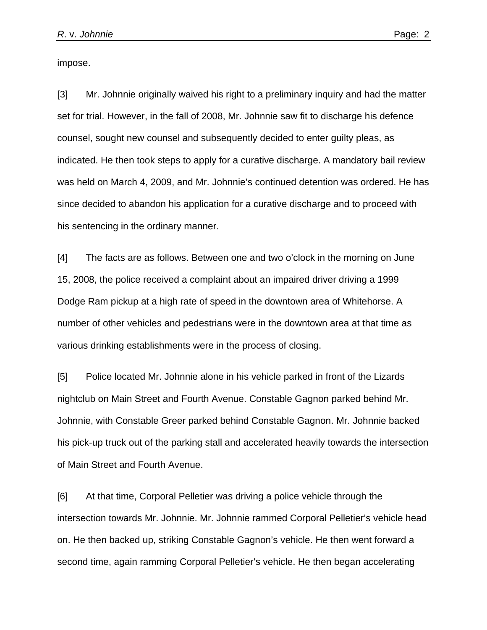impose.

[3] Mr. Johnnie originally waived his right to a preliminary inquiry and had the matter set for trial. However, in the fall of 2008, Mr. Johnnie saw fit to discharge his defence counsel, sought new counsel and subsequently decided to enter guilty pleas, as indicated. He then took steps to apply for a curative discharge. A mandatory bail review was held on March 4, 2009, and Mr. Johnnie's continued detention was ordered. He has since decided to abandon his application for a curative discharge and to proceed with his sentencing in the ordinary manner.

[4] The facts are as follows. Between one and two o'clock in the morning on June 15, 2008, the police received a complaint about an impaired driver driving a 1999 Dodge Ram pickup at a high rate of speed in the downtown area of Whitehorse. A number of other vehicles and pedestrians were in the downtown area at that time as various drinking establishments were in the process of closing.

[5] Police located Mr. Johnnie alone in his vehicle parked in front of the Lizards nightclub on Main Street and Fourth Avenue. Constable Gagnon parked behind Mr. Johnnie, with Constable Greer parked behind Constable Gagnon. Mr. Johnnie backed his pick-up truck out of the parking stall and accelerated heavily towards the intersection of Main Street and Fourth Avenue.

[6] At that time, Corporal Pelletier was driving a police vehicle through the intersection towards Mr. Johnnie. Mr. Johnnie rammed Corporal Pelletier's vehicle head on. He then backed up, striking Constable Gagnon's vehicle. He then went forward a second time, again ramming Corporal Pelletier's vehicle. He then began accelerating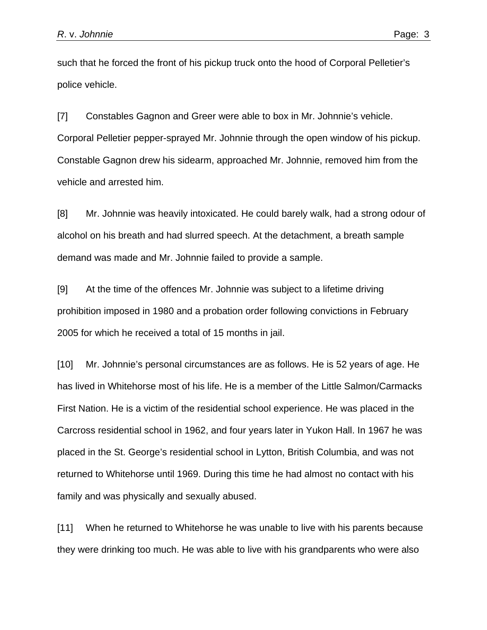such that he forced the front of his pickup truck onto the hood of Corporal Pelletier's police vehicle.

[7] Constables Gagnon and Greer were able to box in Mr. Johnnie's vehicle. Corporal Pelletier pepper-sprayed Mr. Johnnie through the open window of his pickup. Constable Gagnon drew his sidearm, approached Mr. Johnnie, removed him from the vehicle and arrested him.

[8] Mr. Johnnie was heavily intoxicated. He could barely walk, had a strong odour of alcohol on his breath and had slurred speech. At the detachment, a breath sample demand was made and Mr. Johnnie failed to provide a sample.

[9] At the time of the offences Mr. Johnnie was subject to a lifetime driving prohibition imposed in 1980 and a probation order following convictions in February 2005 for which he received a total of 15 months in jail.

[10] Mr. Johnnie's personal circumstances are as follows. He is 52 years of age. He has lived in Whitehorse most of his life. He is a member of the Little Salmon/Carmacks First Nation. He is a victim of the residential school experience. He was placed in the Carcross residential school in 1962, and four years later in Yukon Hall. In 1967 he was placed in the St. George's residential school in Lytton, British Columbia, and was not returned to Whitehorse until 1969. During this time he had almost no contact with his family and was physically and sexually abused.

[11] When he returned to Whitehorse he was unable to live with his parents because they were drinking too much. He was able to live with his grandparents who were also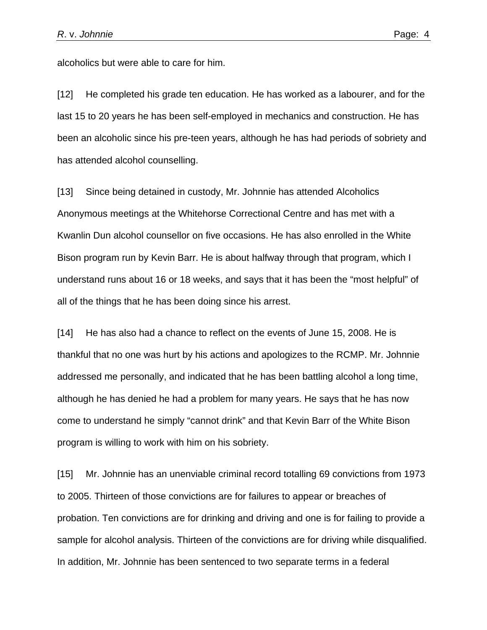alcoholics but were able to care for him.

[12] He completed his grade ten education. He has worked as a labourer, and for the last 15 to 20 years he has been self-employed in mechanics and construction. He has been an alcoholic since his pre-teen years, although he has had periods of sobriety and has attended alcohol counselling.

[13] Since being detained in custody, Mr. Johnnie has attended Alcoholics Anonymous meetings at the Whitehorse Correctional Centre and has met with a Kwanlin Dun alcohol counsellor on five occasions. He has also enrolled in the White Bison program run by Kevin Barr. He is about halfway through that program, which I understand runs about 16 or 18 weeks, and says that it has been the "most helpful" of all of the things that he has been doing since his arrest.

[14] He has also had a chance to reflect on the events of June 15, 2008. He is thankful that no one was hurt by his actions and apologizes to the RCMP. Mr. Johnnie addressed me personally, and indicated that he has been battling alcohol a long time, although he has denied he had a problem for many years. He says that he has now come to understand he simply "cannot drink" and that Kevin Barr of the White Bison program is willing to work with him on his sobriety.

[15] Mr. Johnnie has an unenviable criminal record totalling 69 convictions from 1973 to 2005. Thirteen of those convictions are for failures to appear or breaches of probation. Ten convictions are for drinking and driving and one is for failing to provide a sample for alcohol analysis. Thirteen of the convictions are for driving while disqualified. In addition, Mr. Johnnie has been sentenced to two separate terms in a federal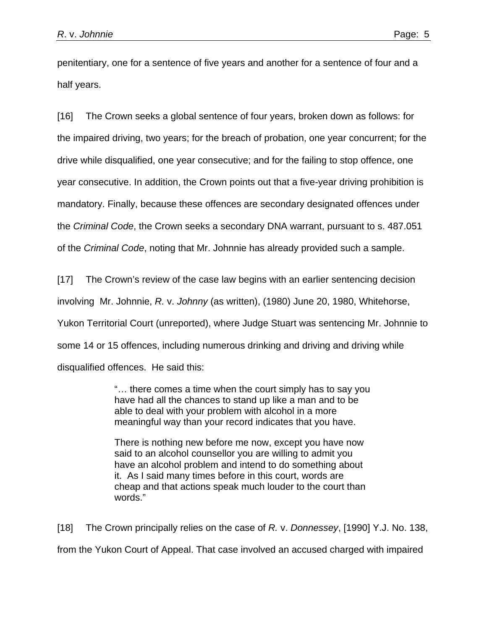penitentiary, one for a sentence of five years and another for a sentence of four and a half years.

[16] The Crown seeks a global sentence of four years, broken down as follows: for the impaired driving, two years; for the breach of probation, one year concurrent; for the drive while disqualified, one year consecutive; and for the failing to stop offence, one year consecutive. In addition, the Crown points out that a five-year driving prohibition is mandatory. Finally, because these offences are secondary designated offences under the *Criminal Code*, the Crown seeks a secondary DNA warrant, pursuant to s. 487.051 of the *Criminal Code*, noting that Mr. Johnnie has already provided such a sample.

[17] The Crown's review of the case law begins with an earlier sentencing decision involving Mr. Johnnie, *R.* v. *Johnny* (as written), (1980) June 20, 1980, Whitehorse, Yukon Territorial Court (unreported), where Judge Stuart was sentencing Mr. Johnnie to some 14 or 15 offences, including numerous drinking and driving and driving while disqualified offences. He said this:

> "… there comes a time when the court simply has to say you have had all the chances to stand up like a man and to be able to deal with your problem with alcohol in a more meaningful way than your record indicates that you have.

There is nothing new before me now, except you have now said to an alcohol counsellor you are willing to admit you have an alcohol problem and intend to do something about it. As I said many times before in this court, words are cheap and that actions speak much louder to the court than words."

[18] The Crown principally relies on the case of *R.* v. *Donnessey*, [1990] Y.J. No. 138, from the Yukon Court of Appeal. That case involved an accused charged with impaired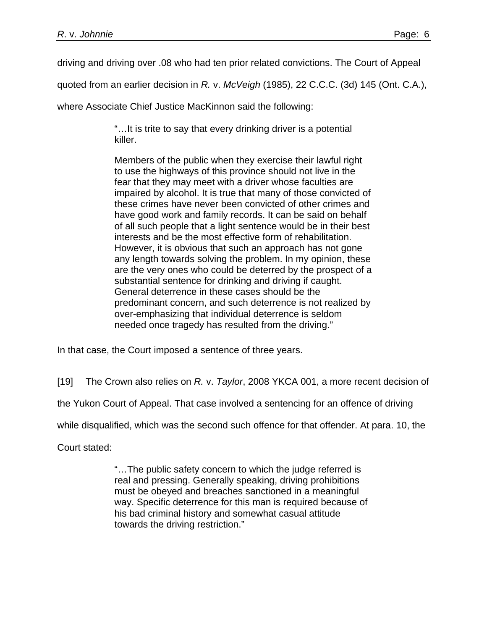driving and driving over .08 who had ten prior related convictions. The Court of Appeal

quoted from an earlier decision in *R.* v. *McVeigh* (1985), 22 C.C.C. (3d) 145 (Ont. C.A.),

where Associate Chief Justice MacKinnon said the following:

"…It is trite to say that every drinking driver is a potential killer.

Members of the public when they exercise their lawful right to use the highways of this province should not live in the fear that they may meet with a driver whose faculties are impaired by alcohol. It is true that many of those convicted of these crimes have never been convicted of other crimes and have good work and family records. It can be said on behalf of all such people that a light sentence would be in their best interests and be the most effective form of rehabilitation. However, it is obvious that such an approach has not gone any length towards solving the problem. In my opinion, these are the very ones who could be deterred by the prospect of a substantial sentence for drinking and driving if caught. General deterrence in these cases should be the predominant concern, and such deterrence is not realized by over-emphasizing that individual deterrence is seldom needed once tragedy has resulted from the driving."

In that case, the Court imposed a sentence of three years.

[19] The Crown also relies on *R.* v. *Taylor*, 2008 YKCA 001, a more recent decision of

the Yukon Court of Appeal. That case involved a sentencing for an offence of driving

while disqualified, which was the second such offence for that offender. At para. 10, the

Court stated:

"…The public safety concern to which the judge referred is real and pressing. Generally speaking, driving prohibitions must be obeyed and breaches sanctioned in a meaningful way. Specific deterrence for this man is required because of his bad criminal history and somewhat casual attitude towards the driving restriction."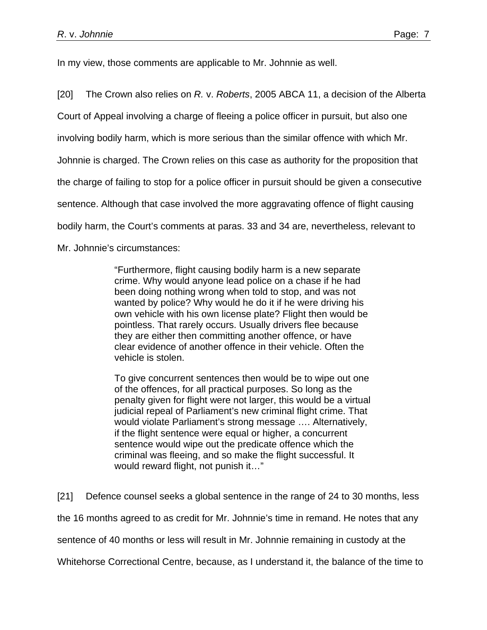In my view, those comments are applicable to Mr. Johnnie as well.

[20] The Crown also relies on *R.* v. *Roberts*, 2005 ABCA 11, a decision of the Alberta Court of Appeal involving a charge of fleeing a police officer in pursuit, but also one involving bodily harm, which is more serious than the similar offence with which Mr. Johnnie is charged. The Crown relies on this case as authority for the proposition that the charge of failing to stop for a police officer in pursuit should be given a consecutive sentence. Although that case involved the more aggravating offence of flight causing bodily harm, the Court's comments at paras. 33 and 34 are, nevertheless, relevant to Mr. Johnnie's circumstances:

> "Furthermore, flight causing bodily harm is a new separate crime. Why would anyone lead police on a chase if he had been doing nothing wrong when told to stop, and was not wanted by police? Why would he do it if he were driving his own vehicle with his own license plate? Flight then would be pointless. That rarely occurs. Usually drivers flee because they are either then committing another offence, or have clear evidence of another offence in their vehicle. Often the vehicle is stolen.

> To give concurrent sentences then would be to wipe out one of the offences, for all practical purposes. So long as the penalty given for flight were not larger, this would be a virtual judicial repeal of Parliament's new criminal flight crime. That would violate Parliament's strong message …. Alternatively, if the flight sentence were equal or higher, a concurrent sentence would wipe out the predicate offence which the criminal was fleeing, and so make the flight successful. It would reward flight, not punish it…"

[21] Defence counsel seeks a global sentence in the range of 24 to 30 months, less the 16 months agreed to as credit for Mr. Johnnie's time in remand. He notes that any sentence of 40 months or less will result in Mr. Johnnie remaining in custody at the Whitehorse Correctional Centre, because, as I understand it, the balance of the time to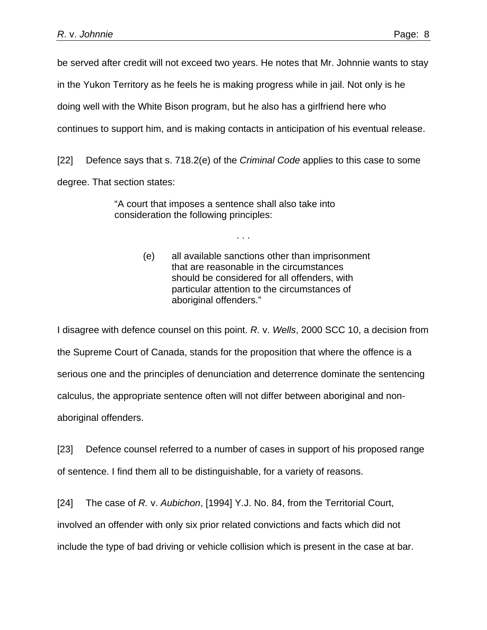be served after credit will not exceed two years. He notes that Mr. Johnnie wants to stay

in the Yukon Territory as he feels he is making progress while in jail. Not only is he

doing well with the White Bison program, but he also has a girlfriend here who

continues to support him, and is making contacts in anticipation of his eventual release.

[22] Defence says that s. 718.2(e) of the *Criminal Code* applies to this case to some degree. That section states:

. . .

"A court that imposes a sentence shall also take into consideration the following principles:

> (e) all available sanctions other than imprisonment that are reasonable in the circumstances should be considered for all offenders, with particular attention to the circumstances of aboriginal offenders."

I disagree with defence counsel on this point. *R.* v. *Wells*, 2000 SCC 10, a decision from the Supreme Court of Canada, stands for the proposition that where the offence is a serious one and the principles of denunciation and deterrence dominate the sentencing calculus, the appropriate sentence often will not differ between aboriginal and nonaboriginal offenders.

[23] Defence counsel referred to a number of cases in support of his proposed range of sentence. I find them all to be distinguishable, for a variety of reasons.

[24] The case of *R.* v. *Aubichon*, [1994] Y.J. No. 84, from the Territorial Court, involved an offender with only six prior related convictions and facts which did not include the type of bad driving or vehicle collision which is present in the case at bar.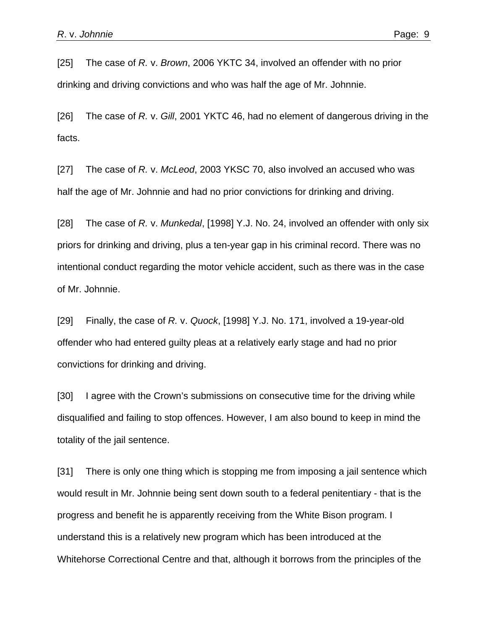[25] The case of *R.* v. *Brown*, 2006 YKTC 34, involved an offender with no prior drinking and driving convictions and who was half the age of Mr. Johnnie.

[26] The case of *R.* v. *Gill*, 2001 YKTC 46, had no element of dangerous driving in the facts.

[27] The case of *R.* v. *McLeod*, 2003 YKSC 70, also involved an accused who was half the age of Mr. Johnnie and had no prior convictions for drinking and driving.

[28] The case of *R.* v. *Munkedal*, [1998] Y.J. No. 24, involved an offender with only six priors for drinking and driving, plus a ten-year gap in his criminal record. There was no intentional conduct regarding the motor vehicle accident, such as there was in the case of Mr. Johnnie.

[29] Finally, the case of *R.* v. *Quock*, [1998] Y.J. No. 171, involved a 19-year-old offender who had entered guilty pleas at a relatively early stage and had no prior convictions for drinking and driving.

[30] I agree with the Crown's submissions on consecutive time for the driving while disqualified and failing to stop offences. However, I am also bound to keep in mind the totality of the jail sentence.

[31] There is only one thing which is stopping me from imposing a jail sentence which would result in Mr. Johnnie being sent down south to a federal penitentiary - that is the progress and benefit he is apparently receiving from the White Bison program. I understand this is a relatively new program which has been introduced at the Whitehorse Correctional Centre and that, although it borrows from the principles of the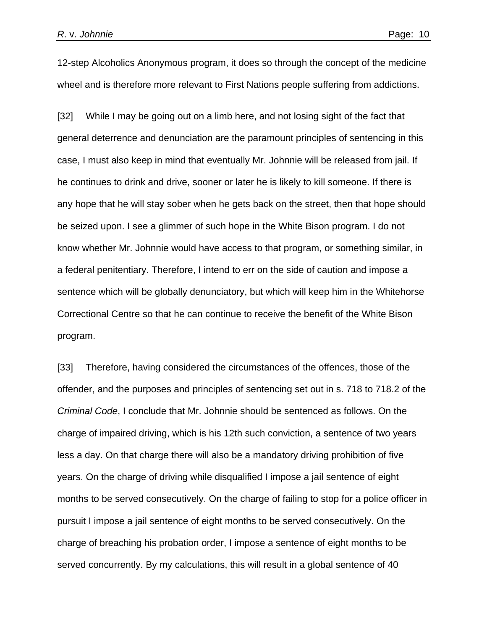12-step Alcoholics Anonymous program, it does so through the concept of the medicine wheel and is therefore more relevant to First Nations people suffering from addictions.

[32] While I may be going out on a limb here, and not losing sight of the fact that general deterrence and denunciation are the paramount principles of sentencing in this case, I must also keep in mind that eventually Mr. Johnnie will be released from jail. If he continues to drink and drive, sooner or later he is likely to kill someone. If there is any hope that he will stay sober when he gets back on the street, then that hope should be seized upon. I see a glimmer of such hope in the White Bison program. I do not know whether Mr. Johnnie would have access to that program, or something similar, in a federal penitentiary. Therefore, I intend to err on the side of caution and impose a sentence which will be globally denunciatory, but which will keep him in the Whitehorse Correctional Centre so that he can continue to receive the benefit of the White Bison program.

[33] Therefore, having considered the circumstances of the offences, those of the offender, and the purposes and principles of sentencing set out in s. 718 to 718.2 of the *Criminal Code*, I conclude that Mr. Johnnie should be sentenced as follows. On the charge of impaired driving, which is his 12th such conviction, a sentence of two years less a day. On that charge there will also be a mandatory driving prohibition of five years. On the charge of driving while disqualified I impose a jail sentence of eight months to be served consecutively. On the charge of failing to stop for a police officer in pursuit I impose a jail sentence of eight months to be served consecutively. On the charge of breaching his probation order, I impose a sentence of eight months to be served concurrently. By my calculations, this will result in a global sentence of 40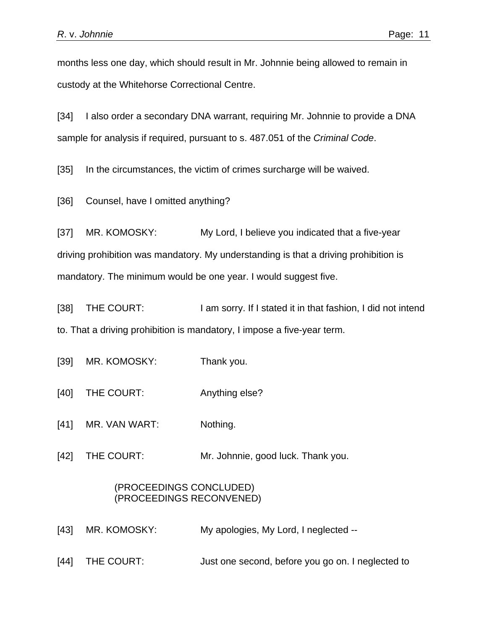months less one day, which should result in Mr. Johnnie being allowed to remain in custody at the Whitehorse Correctional Centre.

[34] I also order a secondary DNA warrant, requiring Mr. Johnnie to provide a DNA sample for analysis if required, pursuant to s. 487.051 of the *Criminal Code*.

[35] In the circumstances, the victim of crimes surcharge will be waived.

[36] Counsel, have I omitted anything?

[37] MR. KOMOSKY: My Lord, I believe you indicated that a five-year driving prohibition was mandatory. My understanding is that a driving prohibition is mandatory. The minimum would be one year. I would suggest five.

[38] THE COURT: I am sorry. If I stated it in that fashion, I did not intend to. That a driving prohibition is mandatory, I impose a five-year term.

[39] MR. KOMOSKY: Thank you.

[40] THE COURT: Anything else?

[41] MR. VAN WART: Nothing.

[42] THE COURT: Mr. Johnnie, good luck. Thank you.

#### (PROCEEDINGS CONCLUDED) (PROCEEDINGS RECONVENED)

- [43] MR. KOMOSKY: My apologies, My Lord, I neglected --
- [44] THE COURT: Just one second, before you go on. I neglected to